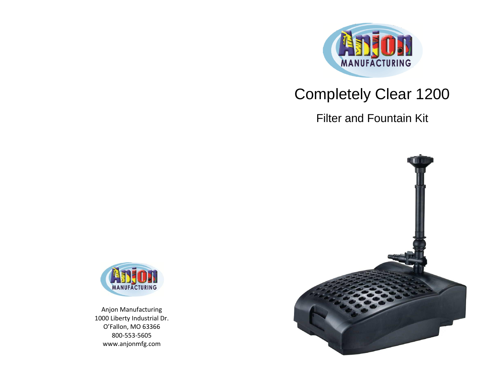

## Completely Clear 1200

Filter and Fountain Kit





Anjon Manufacturing 1000 Liberty Industrial Dr. O'Fallon, MO 63366 800-553-5605 www.anjonmfg.com